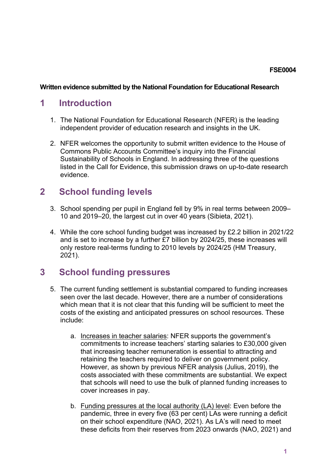### **Written evidence submitted by the National Foundation for Educational Research**

## **1 Introduction**

- 1. The National Foundation for Educational Research (NFER) is the leading independent provider of education research and insights in the UK.
- 2. NFER welcomes the opportunity to submit written evidence to the House of Commons Public Accounts Committee's inquiry into the Financial Sustainability of Schools in England. In addressing three of the questions listed in the Call for Evidence, this submission draws on up-to-date research evidence.

## **2 School funding levels**

- 3. School spending per pupil in England fell by 9% in real terms between 2009– 10 and 2019–20, the largest cut in over 40 years (Sibieta, 2021).
- 4. While the core school funding budget was increased by £2.2 billion in 2021/22 and is set to increase by a further £7 billion by 2024/25, these increases will only restore real-terms funding to 2010 levels by 2024/25 (HM Treasury, 2021).

## **3 School funding pressures**

- 5. The current funding settlement is substantial compared to funding increases seen over the last decade. However, there are a number of considerations which mean that it is not clear that this funding will be sufficient to meet the costs of the existing and anticipated pressures on school resources. These include:
	- a. Increases in teacher salaries: NFER supports the government's commitments to increase teachers' starting salaries to £30,000 given that increasing teacher remuneration is essential to attracting and retaining the teachers required to deliver on government policy. However, as shown by previous NFER analysis (Julius, 2019), the costs associated with these commitments are substantial. We expect that schools will need to use the bulk of planned funding increases to cover increases in pay.
	- b. Funding pressures at the local authority (LA) level: Even before the pandemic, three in every five (63 per cent) LAs were running a deficit on their school expenditure (NAO, 2021). As LA's will need to meet these deficits from their reserves from 2023 onwards (NAO, 2021) and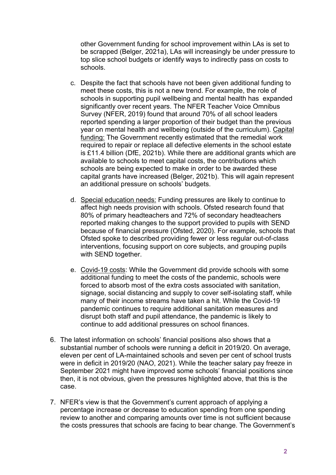other Government funding for school improvement within LAs is set to be scrapped (Belger, 2021a), LAs will increasingly be under pressure to top slice school budgets or identify ways to indirectly pass on costs to schools.

- c. Despite the fact that schools have not been given additional funding to meet these costs, this is not a new trend. For example, the role of schools in supporting pupil wellbeing and mental health has expanded significantly over recent years. The NFER Teacher Voice Omnibus Survey (NFER, 2019) found that around 70% of all school leaders reported spending a larger proportion of their budget than the previous year on mental health and wellbeing (outside of the curriculum). Capital funding: The Government recently estimated that the remedial work required to repair or replace all defective elements in the school estate is £11.4 billion (DfE, 2021b). While there are additional grants which are available to schools to meet capital costs, the contributions which schools are being expected to make in order to be awarded these capital grants have increased (Belger, 2021b). This will again represent an additional pressure on schools' budgets.
- d. Special education needs: Funding pressures are likely to continue to affect high needs provision with schools. Ofsted research found that 80% of primary headteachers and 72% of secondary headteachers reported making changes to the support provided to pupils with SEND because of financial pressure (Ofsted, 2020). For example, schools that Ofsted spoke to described providing fewer or less regular out-of-class interventions, focusing support on core subjects, and grouping pupils with SEND together.
- e. Covid-19 costs: While the Government did provide schools with some additional funding to meet the costs of the pandemic, schools were forced to absorb most of the extra costs associated with sanitation, signage, social distancing and supply to cover self-isolating staff, while many of their income streams have taken a hit. While the Covid-19 pandemic continues to require additional sanitation measures and disrupt both staff and pupil attendance, the pandemic is likely to continue to add additional pressures on school finances.
- 6. The latest information on schools' financial positions also shows that a substantial number of schools were running a deficit in 2019/20. On average, eleven per cent of LA-maintained schools and seven per cent of school trusts were in deficit in 2019/20 (NAO, 2021). While the teacher salary pay freeze in September 2021 might have improved some schools' financial positions since then, it is not obvious, given the pressures highlighted above, that this is the case.
- 7. NFER's view is that the Government's current approach of applying a percentage increase or decrease to education spending from one spending review to another and comparing amounts over time is not sufficient because the costs pressures that schools are facing to bear change. The Government's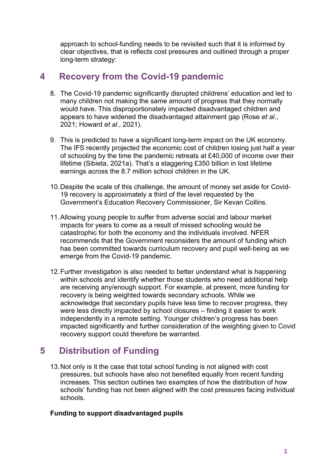approach to school-funding needs to be revisited such that it is informed by clear objectives, that is reflects cost pressures and outlined through a proper long-term strategy:

## **4 Recovery from the Covid-19 pandemic**

- 8. The Covid-19 pandemic significantly disrupted childrens' education and led to many children not making the same amount of progress that they normally would have. This disproportionately impacted disadvantaged children and appears to have widened the disadvantaged attainment gap (Rose *et al*., 2021; Howard *et al*., 2021).
- 9. This is predicted to have a significant long-term impact on the UK economy. The IFS recently projected the economic cost of children losing just half a year of schooling by the time the pandemic retreats at £40,000 of income over their lifetime (Sibieta, 2021a). That's a staggering £350 billion in lost lifetime earnings across the 8.7 million school children in the UK.
- 10.Despite the scale of this challenge, the amount of money set aside for Covid-19 recovery is approximately a third of the level requested by the Government's Education Recovery Commissioner, Sir Kevan Collins.
- 11.Allowing young people to suffer from adverse social and labour market impacts for years to come as a result of missed schooling would be catastrophic for both the economy and the individuals involved. NFER recommends that the Government reconsiders the amount of funding which has been committed towards curriculum recovery and pupil well-being as we emerge from the Covid-19 pandemic.
- 12.Further investigation is also needed to better understand what is happening within schools and identify whether those students who need additional help are receiving any/enough support. For example, at present, more funding for recovery is being weighted towards secondary schools. While we acknowledge that secondary pupils have less time to recover progress, they were less directly impacted by school closures – finding it easier to work independently in a remote setting. Younger children's progress has been impacted significantly and further consideration of the weighting given to Covid recovery support could therefore be warranted.

# **5 Distribution of Funding**

13.Not only is it the case that total school funding is not aligned with cost pressures, but schools have also not benefited equally from recent funding increases. This section outlines two examples of how the distribution of how schools' funding has not been aligned with the cost pressures facing individual schools.

### **Funding to support disadvantaged pupils**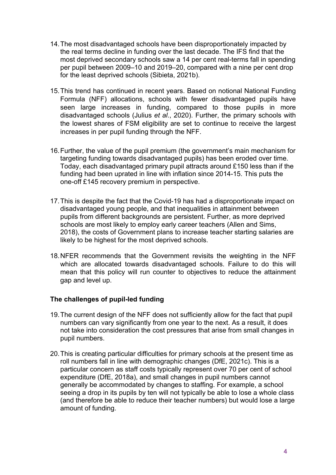- 14.The most disadvantaged schools have been disproportionately impacted by the real terms decline in funding over the last decade. The IFS find that the most deprived secondary schools saw a 14 per cent real-terms fall in spending per pupil between 2009–10 and 2019–20, compared with a nine per cent drop for the least deprived schools (Sibieta, 2021b).
- 15.This trend has continued in recent years. Based on notional National Funding Formula (NFF) allocations, schools with fewer disadvantaged pupils have seen large increases in funding, compared to those pupils in more disadvantaged schools (Julius *et al*., 2020). Further, the primary schools with the lowest shares of FSM eligibility are set to continue to receive the largest increases in per pupil funding through the NFF.
- 16.Further, the value of the pupil premium (the government's main mechanism for targeting funding towards disadvantaged pupils) has been eroded over time. Today, each disadvantaged primary pupil attracts around £150 less than if the funding had been uprated in line with inflation since 2014-15. This puts the one-off £145 recovery premium in perspective.
- 17.This is despite the fact that the Covid-19 has had a disproportionate impact on disadvantaged young people, and that inequalities in attainment between pupils from different backgrounds are persistent. Further, as more deprived schools are most likely to employ early career teachers (Allen and Sims, 2018), the costs of Government plans to increase teacher starting salaries are likely to be highest for the most deprived schools.
- 18.NFER recommends that the Government revisits the weighting in the NFF which are allocated towards disadvantaged schools. Failure to do this will mean that this policy will run counter to objectives to reduce the attainment gap and level up.

#### **The challenges of pupil-led funding**

- 19.The current design of the NFF does not sufficiently allow for the fact that pupil numbers can vary significantly from one year to the next. As a result, it does not take into consideration the cost pressures that arise from small changes in pupil numbers.
- 20.This is creating particular difficulties for primary schools at the present time as roll numbers fall in line with demographic changes (DfE, 2021c). This is a particular concern as staff costs typically represent over 70 per cent of school expenditure (DfE, 2018a), and small changes in pupil numbers cannot generally be accommodated by changes to staffing. For example, a school seeing a drop in its pupils by ten will not typically be able to lose a whole class (and therefore be able to reduce their teacher numbers) but would lose a large amount of funding.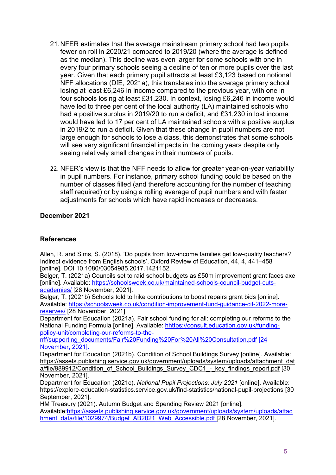- 21.NFER estimates that the average mainstream primary school had two pupils fewer on roll in 2020/21 compared to 2019/20 (where the average is defined as the median). This decline was even larger for some schools with one in every four primary schools seeing a decline of ten or more pupils over the last year. Given that each primary pupil attracts at least £3,123 based on notional NFF allocations (DfE, 2021a), this translates into the average primary school losing at least £6,246 in income compared to the previous year, with one in four schools losing at least £31,230. In context, losing £6,246 in income would have led to three per cent of the local authority (LA) maintained schools who had a positive surplus in 2019/20 to run a deficit, and £31,230 in lost income would have led to 17 per cent of LA maintained schools with a positive surplus in 2019/2 to run a deficit. Given that these change in pupil numbers are not large enough for schools to lose a class, this demonstrates that some schools will see very significant financial impacts in the coming years despite only seeing relatively small changes in their numbers of pupils.
- 22. NFER's view is that the NFF needs to allow for greater year-on-year variability in pupil numbers. For instance, primary school funding could be based on the number of classes filled (and therefore accounting for the number of teaching staff required) or by using a rolling average of pupil numbers and with faster adjustments for schools which have rapid increases or decreases.

### **December 2021**

### **References**

Allen, R. and Sims, S. (2018). 'Do pupils from low-income families get low-quality teachers? Indirect evidence from English schools', Oxford Review of Education, 44, 4, 441–458 [online]. DOI 10.1080/03054985.2017.1421152.

Belger, T. (2021a) Councils set to raid school budgets as £50m improvement grant faces axe [online]. Available: [https://schoolsweek.co.uk/maintained-schools-council-budget-cuts](https://schoolsweek.co.uk/maintained-schools-council-budget-cuts-academies/)[academies/](https://schoolsweek.co.uk/maintained-schools-council-budget-cuts-academies/) [28 November, 2021].

Belger, T. (2021b) Schools told to hike contributions to boost repairs grant bids [online]. Available: [https://schoolsweek.co.uk/condition-improvement-fund-guidance-cif-2022-more](https://schoolsweek.co.uk/condition-improvement-fund-guidance-cif-2022-more-reserves/)[reserves/](https://schoolsweek.co.uk/condition-improvement-fund-guidance-cif-2022-more-reserves/) [28 November, 2021].

Department for Education (2021a). Fair school funding for all: completing our reforms to the National Funding Formula [online]. Available: [hhttps://consult.education.gov.uk/funding](https://consult.education.gov.uk/funding-policy-unit/completing-our-reforms-to-the-nff/supporting_documents/Fair%20Funding%20For%20All%20Consultation.pdf)[policy-unit/completing-our-reforms-to-the-](https://consult.education.gov.uk/funding-policy-unit/completing-our-reforms-to-the-nff/supporting_documents/Fair%20Funding%20For%20All%20Consultation.pdf)

[nff/supporting\\_documents/Fair%20Funding%20For%20All%20Consultation.pdf](https://consult.education.gov.uk/funding-policy-unit/completing-our-reforms-to-the-nff/supporting_documents/Fair%20Funding%20For%20All%20Consultation.pdf) [24 November, 2021].

Department for Education (2021b). Condition of School Buildings Survey [online]. Available: [https://assets.publishing.service.gov.uk/government/uploads/system/uploads/attachment\\_dat](https://assets.publishing.service.gov.uk/government/uploads/system/uploads/attachment_data/file/989912/Condition_of_School_Buildings_Survey_CDC1_-_key_findings_report.pdf) [a/file/989912/Condition\\_of\\_School\\_Buildings\\_Survey\\_CDC1\\_-\\_key\\_findings\\_report.pdf](https://assets.publishing.service.gov.uk/government/uploads/system/uploads/attachment_data/file/989912/Condition_of_School_Buildings_Survey_CDC1_-_key_findings_report.pdf) [30 November, 2021].

Department for Education (2021c). *National Pupil Projections: July 2021* [online]. Available: <https://explore-education-statistics.service.gov.uk/find-statistics/national-pupil-projections> [30 September, 2021].

HM Treasury (2021). Autumn Budget and Spending Review 2021 [online].

Available:[https://assets.publishing.service.gov.uk/government/uploads/system/uploads/attac](https://assets.publishing.service.gov.uk/government/uploads/system/uploads/attachment_data/file/1029974/Budget_AB2021_Web_Accessible.pdf) [hment\\_data/file/1029974/Budget\\_AB2021\\_Web\\_Accessible.pdf](https://assets.publishing.service.gov.uk/government/uploads/system/uploads/attachment_data/file/1029974/Budget_AB2021_Web_Accessible.pdf) [28 November, 2021].